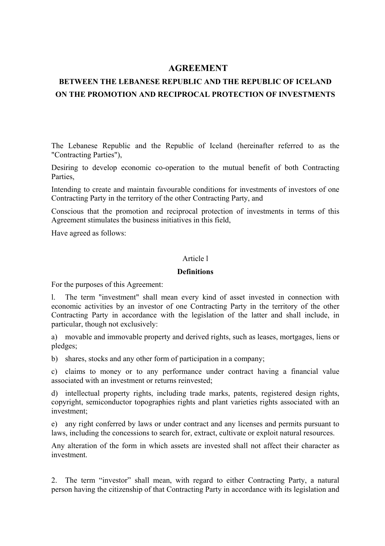# **AGREEMENT**

# **BETWEEN THE LEBANESE REPUBLIC AND THE REPUBLIC OF ICELAND ON THE PROMOTION AND RECIPROCAL PROTECTION OF INVESTMENTS**

The Lebanese Republic and the Republic of Iceland (hereinafter referred to as the "Contracting Parties"),

Desiring to develop economic co-operation to the mutual benefit of both Contracting **Parties** 

Intending to create and maintain favourable conditions for investments of investors of one Contracting Party in the territory of the other Contracting Party, and

Conscious that the promotion and reciprocal protection of investments in terms of this Agreement stimulates the business initiatives in this field,

Have agreed as follows:

#### Article l

#### **Definitions**

For the purposes of this Agreement:

l. The term "investment" shall mean every kind of asset invested in connection with economic activities by an investor of one Contracting Party in the territory of the other Contracting Party in accordance with the legislation of the latter and shall include, in particular, though not exclusively:

a) movable and immovable property and derived rights, such as leases, mortgages, liens or pledges;

b) shares, stocks and any other form of participation in a company;

c) claims to money or to any performance under contract having a financial value associated with an investment or returns reinvested;

d) intellectual property rights, including trade marks, patents, registered design rights, copyright, semiconductor topographies rights and plant varieties rights associated with an investment;

e) any right conferred by laws or under contract and any licenses and permits pursuant to laws, including the concessions to search for, extract, cultivate or exploit natural resources.

Any alteration of the form in which assets are invested shall not affect their character as investment.

2. The term "investor" shall mean, with regard to either Contracting Party, a natural person having the citizenship of that Contracting Party in accordance with its legislation and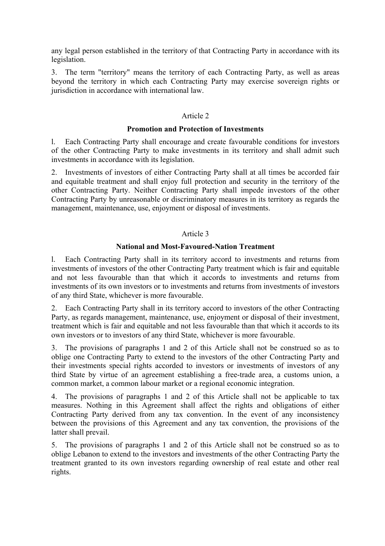any legal person established in the territory of that Contracting Party in accordance with its legislation.

3. The term "territory" means the territory of each Contracting Party, as well as areas beyond the territory in which each Contracting Party may exercise sovereign rights or jurisdiction in accordance with international law.

# Article 2

# **Promotion and Protection of Investments**

l. Each Contracting Party shall encourage and create favourable conditions for investors of the other Contracting Party to make investments in its territory and shall admit such investments in accordance with its legislation.

2. Investments of investors of either Contracting Party shall at all times be accorded fair and equitable treatment and shall enjoy full protection and security in the territory of the other Contracting Party. Neither Contracting Party shall impede investors of the other Contracting Party by unreasonable or discriminatory measures in its territory as regards the management, maintenance, use, enjoyment or disposal of investments.

# Article 3

# **National and Most-Favoured-Nation Treatment**

l. Each Contracting Party shall in its territory accord to investments and returns from investments of investors of the other Contracting Party treatment which is fair and equitable and not less favourable than that which it accords to investments and returns from investments of its own investors or to investments and returns from investments of investors of any third State, whichever is more favourable.

2. Each Contracting Party shall in its territory accord to investors of the other Contracting Party, as regards management, maintenance, use, enjoyment or disposal of their investment, treatment which is fair and equitable and not less favourable than that which it accords to its own investors or to investors of any third State, whichever is more favourable.

3. The provisions of paragraphs 1 and 2 of this Article shall not be construed so as to oblige one Contracting Party to extend to the investors of the other Contracting Party and their investments special rights accorded to investors or investments of investors of any third State by virtue of an agreement establishing a free-trade area, a customs union, a common market, a common labour market or a regional economic integration.

4. The provisions of paragraphs 1 and 2 of this Article shall not be applicable to tax measures. Nothing in this Agreement shall affect the rights and obligations of either Contracting Party derived from any tax convention. In the event of any inconsistency between the provisions of this Agreement and any tax convention, the provisions of the latter shall prevail.

5. The provisions of paragraphs 1 and 2 of this Article shall not be construed so as to oblige Lebanon to extend to the investors and investments of the other Contracting Party the treatment granted to its own investors regarding ownership of real estate and other real rights.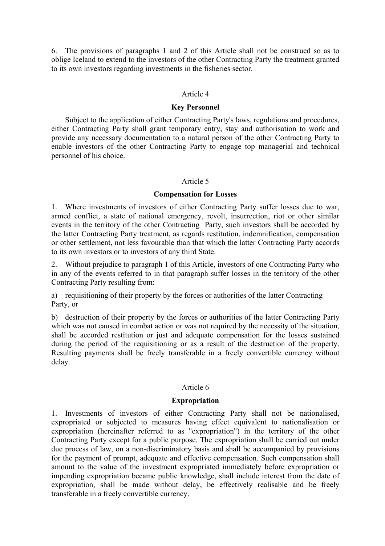6. The provisions of paragraphs 1 and 2 of this Article shall not be construed so as to oblige Iceland to extend to the investors of the other Contracting Party the treatment granted to its own investors regarding investments in the fisheries sector.

#### Article 4

#### **Key Personnel**

 Subject to the application of either Contracting Party's laws, regulations and procedures, either Contracting Party shall grant temporary entry, stay and authorisation to work and provide any necessary documentation to a natural person of the other Contracting Party to enable investors of the other Contracting Party to engage top managerial and technical personnel of his choice.

#### Article 5

#### **Compensation for Losses**

1. Where investments of investors of either Contracting Party suffer losses due to war, armed conflict, a state of national emergency, revolt, insurrection, riot or other similar events in the territory of the other Contracting Party, such investors shall be accorded by the latter Contracting Party treatment, as regards restitution, indemnification, compensation or other settlement, not less favourable than that which the latter Contracting Party accords to its own investors or to investors of any third State.

2. Without prejudice to paragraph 1 of this Article, investors of one Contracting Party who in any of the events referred to in that paragraph suffer losses in the territory of the other Contracting Party resulting from:

a) requisitioning of their property by the forces or authorities of the latter Contracting Party, or

b) destruction of their property by the forces or authorities of the latter Contracting Party which was not caused in combat action or was not required by the necessity of the situation, shall be accorded restitution or just and adequate compensation for the losses sustained during the period of the requisitioning or as a result of the destruction of the property. Resulting payments shall be freely transferable in a freely convertible currency without delay.

# Article 6

# **Expropriation**

1. Investments of investors of either Contracting Party shall not be nationalised, expropriated or subjected to measures having effect equivalent to nationalisation or expropriation (hereinafter referred to as "expropriation") in the territory of the other Contracting Party except for a public purpose. The expropriation shall be carried out under due process of law, on a non-discriminatory basis and shall be accompanied by provisions for the payment of prompt, adequate and effective compensation. Such compensation shall amount to the value of the investment expropriated immediately before expropriation or impending expropriation became public knowledge, shall include interest from the date of expropriation, shall be made without delay, be effectively realisable and be freely transferable in a freely convertible currency.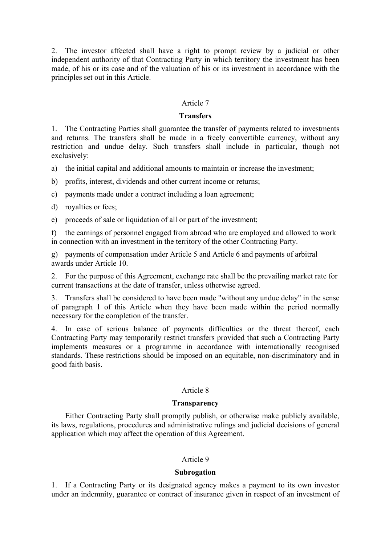2. The investor affected shall have a right to prompt review by a judicial or other independent authority of that Contracting Party in which territory the investment has been made, of his or its case and of the valuation of his or its investment in accordance with the principles set out in this Article.

### Article 7

#### **Transfers**

1. The Contracting Parties shall guarantee the transfer of payments related to investments and returns. The transfers shall be made in a freely convertible currency, without any restriction and undue delay. Such transfers shall include in particular, though not exclusively:

a) the initial capital and additional amounts to maintain or increase the investment;

- b) profits, interest, dividends and other current income or returns;
- c) payments made under a contract including a loan agreement;
- d) royalties or fees;
- e) proceeds of sale or liquidation of all or part of the investment;

f) the earnings of personnel engaged from abroad who are employed and allowed to work in connection with an investment in the territory of the other Contracting Party.

g) payments of compensation under Article 5 and Article 6 and payments of arbitral awards under Article 10.

2. For the purpose of this Agreement, exchange rate shall be the prevailing market rate for current transactions at the date of transfer, unless otherwise agreed.

3. Transfers shall be considered to have been made "without any undue delay" in the sense of paragraph 1 of this Article when they have been made within the period normally necessary for the completion of the transfer.

4. In case of serious balance of payments difficulties or the threat thereof, each Contracting Party may temporarily restrict transfers provided that such a Contracting Party implements measures or a programme in accordance with internationally recognised standards. These restrictions should be imposed on an equitable, non-discriminatory and in good faith basis.

# Article 8

#### **Transparency**

 Either Contracting Party shall promptly publish, or otherwise make publicly available, its laws, regulations, procedures and administrative rulings and judicial decisions of general application which may affect the operation of this Agreement.

#### Article 9

#### **Subrogation**

1. If a Contracting Party or its designated agency makes a payment to its own investor under an indemnity, guarantee or contract of insurance given in respect of an investment of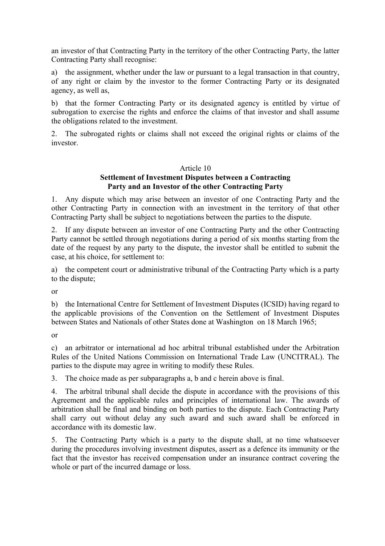an investor of that Contracting Party in the territory of the other Contracting Party, the latter Contracting Party shall recognise:

a) the assignment, whether under the law or pursuant to a legal transaction in that country, of any right or claim by the investor to the former Contracting Party or its designated agency, as well as,

b) that the former Contracting Party or its designated agency is entitled by virtue of subrogation to exercise the rights and enforce the claims of that investor and shall assume the obligations related to the investment.

2. The subrogated rights or claims shall not exceed the original rights or claims of the investor.

# Article 10 **Settlement of Investment Disputes between a Contracting Party and an Investor of the other Contracting Party**

1. Any dispute which may arise between an investor of one Contracting Party and the other Contracting Party in connection with an investment in the territory of that other Contracting Party shall be subject to negotiations between the parties to the dispute.

2. If any dispute between an investor of one Contracting Party and the other Contracting Party cannot be settled through negotiations during a period of six months starting from the date of the request by any party to the dispute, the investor shall be entitled to submit the case, at his choice, for settlement to:

a) the competent court or administrative tribunal of the Contracting Party which is a party to the dispute;

or

b) the International Centre for Settlement of Investment Disputes (ICSID) having regard to the applicable provisions of the Convention on the Settlement of Investment Disputes between States and Nationals of other States done at Washington on 18 March 1965;

or

c) an arbitrator or international ad hoc arbitral tribunal established under the Arbitration Rules of the United Nations Commission on International Trade Law (UNCITRAL). The parties to the dispute may agree in writing to modify these Rules.

3. The choice made as per subparagraphs a, b and c herein above is final.

4. The arbitral tribunal shall decide the dispute in accordance with the provisions of this Agreement and the applicable rules and principles of international law. The awards of arbitration shall be final and binding on both parties to the dispute. Each Contracting Party shall carry out without delay any such award and such award shall be enforced in accordance with its domestic law.

5. The Contracting Party which is a party to the dispute shall, at no time whatsoever during the procedures involving investment disputes, assert as a defence its immunity or the fact that the investor has received compensation under an insurance contract covering the whole or part of the incurred damage or loss.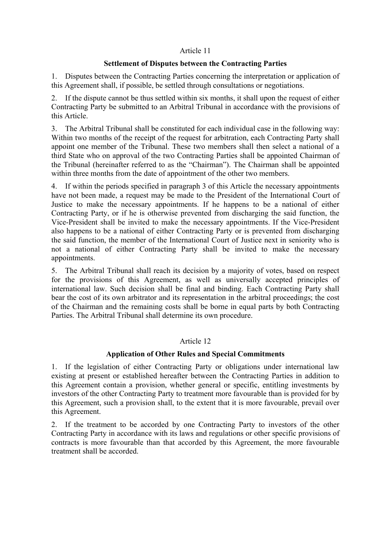# Article 11

# **Settlement of Disputes between the Contracting Parties**

1. Disputes between the Contracting Parties concerning the interpretation or application of this Agreement shall, if possible, be settled through consultations or negotiations.

2. If the dispute cannot be thus settled within six months, it shall upon the request of either Contracting Party be submitted to an Arbitral Tribunal in accordance with the provisions of this Article.

3. The Arbitral Tribunal shall be constituted for each individual case in the following way: Within two months of the receipt of the request for arbitration, each Contracting Party shall appoint one member of the Tribunal. These two members shall then select a national of a third State who on approval of the two Contracting Parties shall be appointed Chairman of the Tribunal (hereinafter referred to as the "Chairman"). The Chairman shall be appointed within three months from the date of appointment of the other two members.

4. If within the periods specified in paragraph 3 of this Article the necessary appointments have not been made, a request may be made to the President of the International Court of Justice to make the necessary appointments. If he happens to be a national of either Contracting Party, or if he is otherwise prevented from discharging the said function, the Vice-President shall be invited to make the necessary appointments. If the Vice-President also happens to be a national of either Contracting Party or is prevented from discharging the said function, the member of the International Court of Justice next in seniority who is not a national of either Contracting Party shall be invited to make the necessary appointments.

5. The Arbitral Tribunal shall reach its decision by a majority of votes, based on respect for the provisions of this Agreement, as well as universally accepted principles of international law. Such decision shall be final and binding. Each Contracting Party shall bear the cost of its own arbitrator and its representation in the arbitral proceedings; the cost of the Chairman and the remaining costs shall be borne in equal parts by both Contracting Parties. The Arbitral Tribunal shall determine its own procedure.

# Article 12

# **Application of Other Rules and Special Commitments**

1. If the legislation of either Contracting Party or obligations under international law existing at present or established hereafter between the Contracting Parties in addition to this Agreement contain a provision, whether general or specific, entitling investments by investors of the other Contracting Party to treatment more favourable than is provided for by this Agreement, such a provision shall, to the extent that it is more favourable, prevail over this Agreement.

2. If the treatment to be accorded by one Contracting Party to investors of the other Contracting Party in accordance with its laws and regulations or other specific provisions of contracts is more favourable than that accorded by this Agreement, the more favourable treatment shall be accorded.